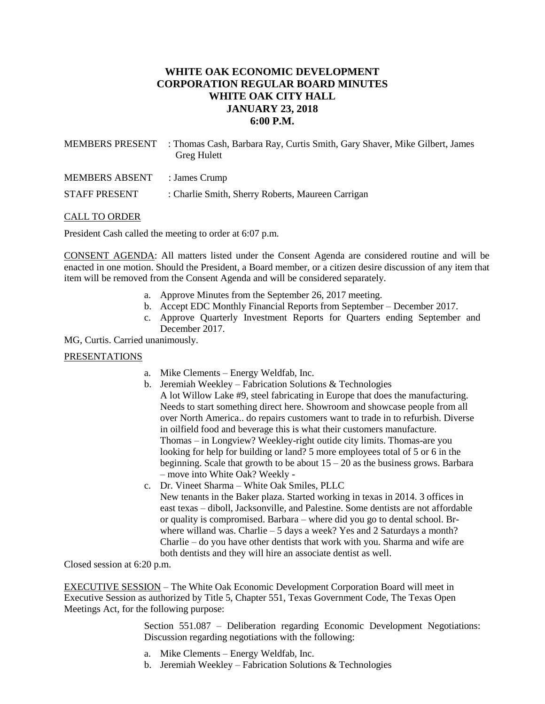# **WHITE OAK ECONOMIC DEVELOPMENT CORPORATION REGULAR BOARD MINUTES WHITE OAK CITY HALL JANUARY 23, 2018 6:00 P.M.**

| <b>MEMBERS PRESENT</b> | : Thomas Cash, Barbara Ray, Curtis Smith, Gary Shaver, Mike Gilbert, James<br><b>Greg Hulett</b> |
|------------------------|--------------------------------------------------------------------------------------------------|
| <b>MEMBERS ABSENT</b>  | : James Crump                                                                                    |
| <b>STAFF PRESENT</b>   | : Charlie Smith, Sherry Roberts, Maureen Carrigan                                                |
|                        |                                                                                                  |

#### CALL TO ORDER

President Cash called the meeting to order at 6:07 p.m.

CONSENT AGENDA: All matters listed under the Consent Agenda are considered routine and will be enacted in one motion. Should the President, a Board member, or a citizen desire discussion of any item that item will be removed from the Consent Agenda and will be considered separately.

- a. Approve Minutes from the September 26, 2017 meeting.
- b. Accept EDC Monthly Financial Reports from September December 2017.
- c. Approve Quarterly Investment Reports for Quarters ending September and December 2017.

MG, Curtis. Carried unanimously.

#### PRESENTATIONS

- a. Mike Clements Energy Weldfab, Inc.
- b. Jeremiah Weekley Fabrication Solutions  $&$  Technologies A lot Willow Lake #9, steel fabricating in Europe that does the manufacturing. Needs to start something direct here. Showroom and showcase people from all over North America.. do repairs customers want to trade in to refurbish. Diverse in oilfield food and beverage this is what their customers manufacture. Thomas – in Longview? Weekley-right outide city limits. Thomas-are you looking for help for building or land? 5 more employees total of 5 or 6 in the beginning. Scale that growth to be about  $15 - 20$  as the business grows. Barbara – move into White Oak? Weekly -
- c. Dr. Vineet Sharma White Oak Smiles, PLLC New tenants in the Baker plaza. Started working in texas in 2014. 3 offices in east texas – diboll, Jacksonville, and Palestine. Some dentists are not affordable or quality is compromised. Barbara – where did you go to dental school. Brwhere willand was. Charlie – 5 days a week? Yes and 2 Saturdays a month? Charlie – do you have other dentists that work with you. Sharma and wife are both dentists and they will hire an associate dentist as well.

Closed session at 6:20 p.m.

EXECUTIVE SESSION – The White Oak Economic Development Corporation Board will meet in Executive Session as authorized by Title 5, Chapter 551, Texas Government Code, The Texas Open Meetings Act, for the following purpose:

> Section 551.087 – Deliberation regarding Economic Development Negotiations: Discussion regarding negotiations with the following:

- a. Mike Clements Energy Weldfab, Inc.
- b. Jeremiah Weekley Fabrication Solutions & Technologies